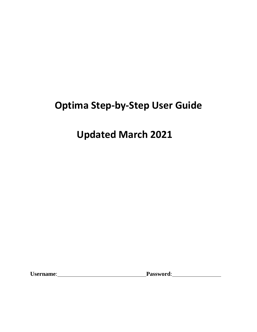# **Optima Step-by-Step User Guide**

# **Updated March 2021**

**Username**: **Password**: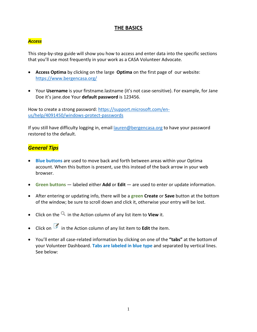## **THE BASICS**

#### *Access*

This step-by-step guide will show you how to access and enter data into the specific sections that you'll use most frequently in your work as a CASA Volunteer Advocate.

- **Access Optima** by clicking on the large **Optima** on the first page of our website: https://www.bergencasa.org/
- Your **Username** is your firstname.lastname (it's not case-sensitive). For example, for Jane Doe it's jane.doe Your **default password** is 123456.

How to create a strong password: https://support.microsoft.com/enus/help/4091450/windows-protect-passwords

If you still have difficulty logging in, email lauren@bergencasa.org to have your password restored to the default.

## *General Tips*

- **Blue buttons** are used to move back and forth between areas within your Optima account. When this button is present, use this instead of the back arrow in your web browser.
- **Green buttons** labeled either **Add** or **Edit** are used to enter or update information.
- After entering or updating info, there will be a **green Create** or **Save** button at the bottom of the window; be sure to scroll down and click it, otherwise your entry will be lost.
- Click on the <sup>Q</sup> in the Action column of any list item to **View** it.
- Click on **in** the Action column of any list item to **Edit** the item.
- You'll enter all case-related information by clicking on one of the **"tabs"** at the bottomof your Volunteer Dashboard. **Tabs are labeled in blue type** and separated by vertical lines. See below: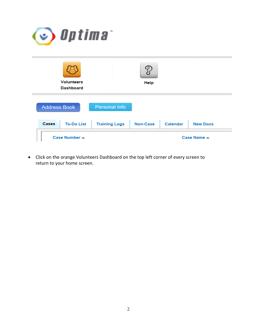

|                     | <b>Volunteers</b><br><b>Dashboard</b> |                      | <b>Help</b>     |                 |                 |
|---------------------|---------------------------------------|----------------------|-----------------|-----------------|-----------------|
| <b>Address Book</b> |                                       | <b>Personal Info</b> |                 |                 |                 |
| <b>Cases</b>        | <b>To-Do List</b>                     | <b>Training Logs</b> | <b>Non-Case</b> | <b>Calendar</b> | <b>New Docs</b> |
| Case Number =       |                                       |                      | Case Name A     |                 |                 |

• Click on the orange Volunteers Dashboard on the top left corner of every screen to return to your home screen.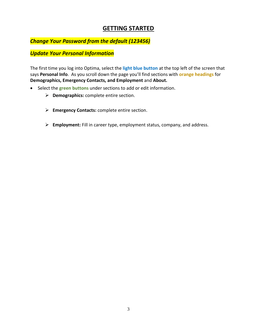## **GETTING STARTED**

## *Change Your Password from the default (123456)*

## *Update Your Personal Information*

The first time you log into Optima, select the **light blue button** at the top left of the screen that says **Personal Info**. As you scroll down the page you'll find sections with **orange headings** for **Demographics, Emergency Contacts, and Employment** and **About.**

- Select the **green buttons** under sections to add or edit information.
	- ➢ **Demographics:** complete entire section.
	- ➢ **Emergency Contacts:** complete entire section.
	- ➢ **Employment:** Fill in career type, employment status, company, and address.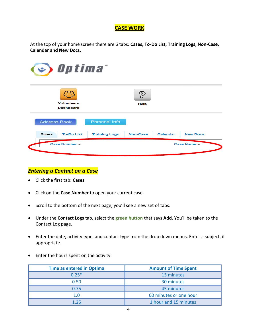## **CASE WORK**

At the top of your home screen there are 6 tabs: **Cases, To-Do List, Training Logs, Non-Case, Calendar and New Docs**.



## *Entering a Contact on a Case*

- Click the first tab: **Cases**.
- Click on the **Case Number** to open your current case.
- Scroll to the bottom of the next page; you'll see a new set of tabs.
- Under the **Contact Logs** tab, select the **green button** that says **Add**. You'll be taken to the Contact Log page.
- Enter the date, activity type, and contact type from the drop down menus. Enter a subject, if appropriate.
- Enter the hours spent on the activity.

| <b>Time as entered in Optima</b> | <b>Amount of Time Spent</b> |  |
|----------------------------------|-----------------------------|--|
| $0.25*$                          | 15 minutes                  |  |
| 0.50                             | 30 minutes                  |  |
| 0.75                             | 45 minutes                  |  |
| 1.0                              | 60 minutes or one hour      |  |
| 1.25                             | 1 hour and 15 minutes       |  |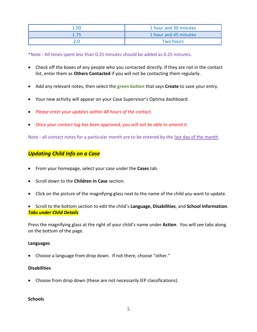| 1.50 | 1 hour and 30 minutes |  |
|------|-----------------------|--|
| 1.75 | 1 hour and 45 minutes |  |
|      | <b>Two hours</b>      |  |

\*Note - All times spent less than 0.25 minutes should be added as 0.25 minutes.

- Check off the boxes of any people who you contacted directly. If they are not in the contact list, enter them as **Others Contacted** if you will not be contacting them regularly.
- Add any relevant notes, then select the **green button** that says **Create** to save your entry.
- Your new activity will appear on your Case Supervisor's Optima dashboard.
- *Please enter your updates within 48 hours of the contact.*
- *Once your contact log has been approved, you will not be able to amend it.*

Note - all contact notes for a particular month are to be entered by the last day of the month.

## *Updating Child Info on a Case*

- From your homepage, select your case under the **Cases** tab.
- Scroll down to the **Children in Case** section.
- Click on the picture of the magnifying glass next to the name of the child you want to update.
- Scroll to the bottom section to edit the child's **Language, Disabilities**, and **School Information**. *Tabs under Child Details*

Press the magnifying glass at the right of your child's name under **Action**. You will see tabs along on the bottom of the page.

#### **Languages**

• Choose a language from drop down. If not there, choose "other."

#### **Disabilities**

• Choose from drop down (these are not necessarily IEP classifications).

#### **Schools**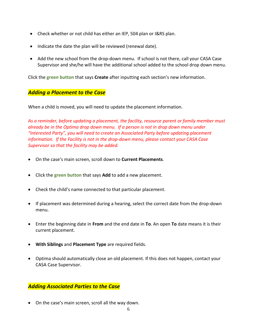- Check whether or not child has either an IEP, 504 plan or I&RS plan.
- Indicate the date the plan will be reviewed (renewal date).
- Add the new school from the drop-down menu. If school is not there, call your CASA Case Supervisor and she/he will have the additional school added to the school drop down menu.

Click the **green button** that says **Create** after inputting each section's new information.

### *Adding a Placement to the Case*

When a child is moved, you will need to update the placement information.

*As a reminder, before updating a placement, the facility, resource parent or family member must already be in the Optima drop down menu. If a person is not in drop down menu under "Interested Party", you will need to create an Associated Party before updating placement information. If the Facility is not in the drop-down menu, please contact your CASA Case Supervisor so that the facility may be added.*

- On the case's main screen, scroll down to **Current Placements**.
- Click the **green button** that says **Add** to add a new placement.
- Check the child's name connected to that particular placement.
- If placement was determined during a hearing, select the correct date from the drop-down menu.
- Enter the beginning date in **From** and the end date in **To**. An open **To** date means it is their current placement.
- **With Siblings** and **Placement Type** are required fields.
- Optima should automatically close an old placement. If this does not happen, contact your CASA Case Supervisor.

## *Adding Associated Parties to the Case*

• On the case's main screen, scroll all the way down.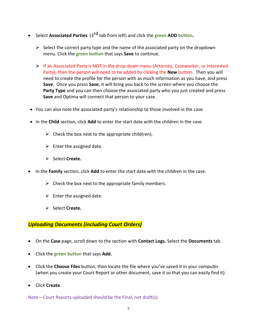- **•** Select Associated Parties (3<sup>rd</sup> tab from left) and click the green ADD button.
	- $\triangleright$  Select the correct party type and the name of the associated party on the dropdown menu. Click the **green button** that says **Save** to continue.
	- $\triangleright$  If an Associated Party is NOT in the drop-down menu (Attorney, Caseworker, or Interested Party), then the person will need to be added by clicking the **New** button. Then you will need to create the profile for the person with as much information as you have, and press **Save**. Once you press **Save**, it will bring you back to the screen where you choose the **Party Type** and you can then choose the associated party who you just created and press **Save** and Optima will connect that person to your case.
- You can also note the associated party's relationship to those involved in the case.
- In the **Child** section, click **Add** to enter the start date with the children in the case.
	- $\triangleright$  Check the box next to the appropriate child(ren).
	- $\triangleright$  Enter the assigned date.
	- ➢ Select **Create.**
- In the **Family** section, click **Add** to enter the start date with the children in the case.
	- $\triangleright$  Check the box next to the appropriate family members.
	- $\triangleright$  Enter the assigned date.
	- ➢ Select **Create.**

#### *Uploading Documents (including Court Orders)*

- On the **Case** page, scroll down to the section with **Contact Logs.** Select the **Documents** tab.
- Click the **green button** that says **Add.**
- Click the **Choose Files** button, then locate the file where you've saved it in your computer (when you create your Court Report or other document, save it so that you can easily find it).
- Click **Create**.

Note – Court Reports uploaded should be the Final, not draft(s).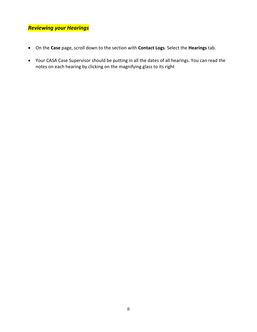## *Reviewing your Hearings*

- On the **Case** page, scroll down to the section with **Contact Logs**. Select the **Hearings** tab.
- Your CASA Case Supervisor should be putting in all the dates of all hearings. You can read the notes on each hearing by clicking on the magnifying glass to its right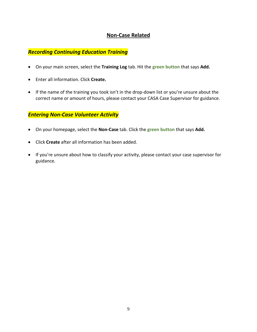## **Non-Case Related**

## *Recording Continuing Education Training*

- On your main screen, select the **Training Log** tab. Hit the **green button** that says **Add.**
- Enter all information. Click **Create.**
- If the name of the training you took isn't in the drop-down list or you're unsure about the correct name or amount of hours, please contact your CASA Case Supervisor for guidance.

## *Entering Non-Case Volunteer Activity*

- On your homepage, select the **Non-Case** tab. Click the **green button** that says **Add.**
- Click **Create** after all information has been added.
- If you're unsure about how to classify your activity, please contact your case supervisor for guidance.